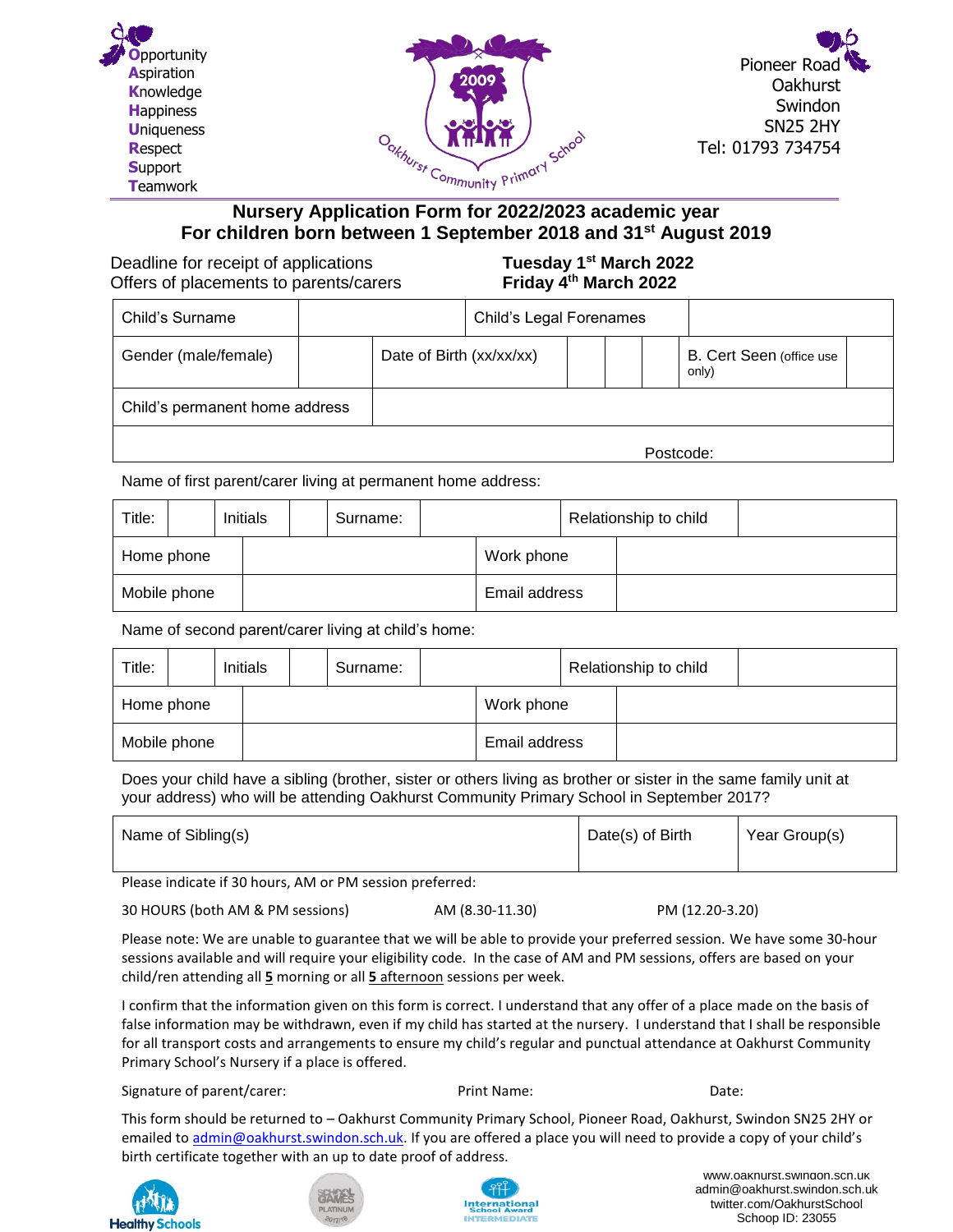





## **Nursery Application Form for 2022/2023 academic year For children born between 1 September 2018 and 31st August 2019**

**Deadline for receipt of applications** Offers of placements to parents/carers

**st March 2022 Friday 4th March 2022** 

| Child's Surname                |  |                          | Child's Legal Forenames |  |           |                                   |  |
|--------------------------------|--|--------------------------|-------------------------|--|-----------|-----------------------------------|--|
| Gender (male/female)           |  | Date of Birth (xx/xx/xx) |                         |  |           | B. Cert Seen (office use<br>only) |  |
| Child's permanent home address |  |                          |                         |  |           |                                   |  |
|                                |  |                          |                         |  | Postcode: |                                   |  |

Name of first parent/carer living at permanent home address:

| Title:       |  | Initials | Surname: |  |               | Relationship to child |  |  |
|--------------|--|----------|----------|--|---------------|-----------------------|--|--|
| Home phone   |  |          |          |  | Work phone    |                       |  |  |
| Mobile phone |  |          |          |  | Email address |                       |  |  |

Name of second parent/carer living at child's home:

| Title:       |            | Initials |            | Surname: |  |               | Relationship to child |  |
|--------------|------------|----------|------------|----------|--|---------------|-----------------------|--|
|              | Home phone |          | Work phone |          |  |               |                       |  |
| Mobile phone |            |          |            |          |  | Email address |                       |  |

Does your child have a sibling (brother, sister or others living as brother or sister in the same family unit at your address) who will be attending Oakhurst Community Primary School in September 2017?

|  | Name of Sibling(s) | Date(s) of Birth | Year Group(s) |
|--|--------------------|------------------|---------------|
|--|--------------------|------------------|---------------|

Please indicate if 30 hours, AM or PM session preferred:

AM (8.30-11.30) PM (12.20-3.20)

Please note: We are unable to guarantee that we will be able to provide your preferred session. We have some 30-hour sessions available and will require your eligibility code. In the case of AM and PM sessions, offers are based on your child/ren attending all **5** morning or all **5** afternoon sessions per week.

false information may be withdrawn, even if my child has started at the nursery. I understand that I shall be responsible<br>Community of the community of the nurse of the nurse of the nurse of the community of the community for all transport costs and arrangements to ensure my child's regular and punctual attendance at Oakhurst Community<br>Primary School's Nursony if a place is offered Primary School's Nursery if a place is offered. I confirm that the information given on this form is correct. I understand that any offer of a place made on the basis of

Signature of parent/carer: example and the Print Name: Print Name: Date: Date:

This form should be returned to – Oakhurst Community Primary School, Pioneer Road, Oakhurst, Swindon SN25 2HY or emailed to [admin@oakhurst.swindon.sch.uk](mailto:admin@oakhurst.swindon.sch.uk). If you are offered a place you will need to provide a copy of your child's birth certificate together with an up to date proof of address.







www.oakhurst.swindon.sch.uk admin@oakhurst.swindon.sch.uk twitter.com/OakhurstSchool Schoop ID: 23055